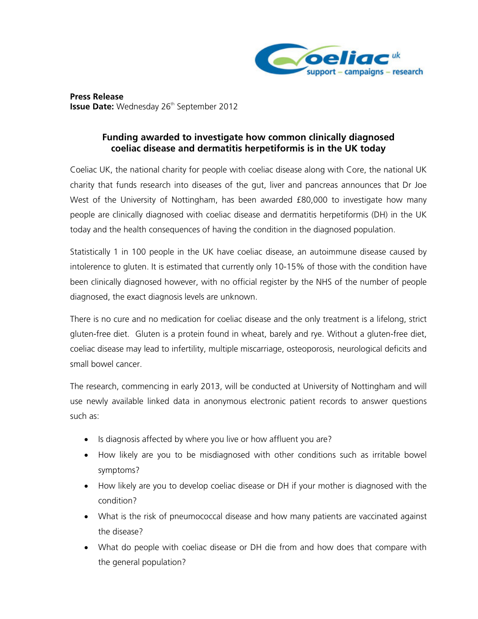

**Press Release Issue Date:** Wednesday 26<sup>th</sup> September 2012

## **Funding awarded to investigate how common clinically diagnosed coeliac disease and dermatitis herpetiformis is in the UK today**

Coeliac UK, the national charity for people with coeliac disease along with Core, the national UK charity that funds research into diseases of the gut, liver and pancreas announces that Dr Joe West of the University of Nottingham, has been awarded £80,000 to investigate how many people are clinically diagnosed with coeliac disease and dermatitis herpetiformis (DH) in the UK today and the health consequences of having the condition in the diagnosed population.

Statistically 1 in 100 people in the UK have coeliac disease, an autoimmune disease caused by intolerence to gluten. It is estimated that currently only 10-15% of those with the condition have been clinically diagnosed however, with no official register by the NHS of the number of people diagnosed, the exact diagnosis levels are unknown.

There is no cure and no medication for coeliac disease and the only treatment is a lifelong, strict gluten-free diet. Gluten is a protein found in wheat, barely and rye. Without a gluten-free diet, coeliac disease may lead to infertility, multiple miscarriage, osteoporosis, neurological deficits and small bowel cancer.

The research, commencing in early 2013, will be conducted at University of Nottingham and will use newly available linked data in anonymous electronic patient records to answer questions such as:

- Is diagnosis affected by where you live or how affluent you are?
- How likely are you to be misdiagnosed with other conditions such as irritable bowel symptoms?
- How likely are you to develop coeliac disease or DH if your mother is diagnosed with the condition?
- What is the risk of pneumococcal disease and how many patients are vaccinated against the disease?
- What do people with coeliac disease or DH die from and how does that compare with the general population?